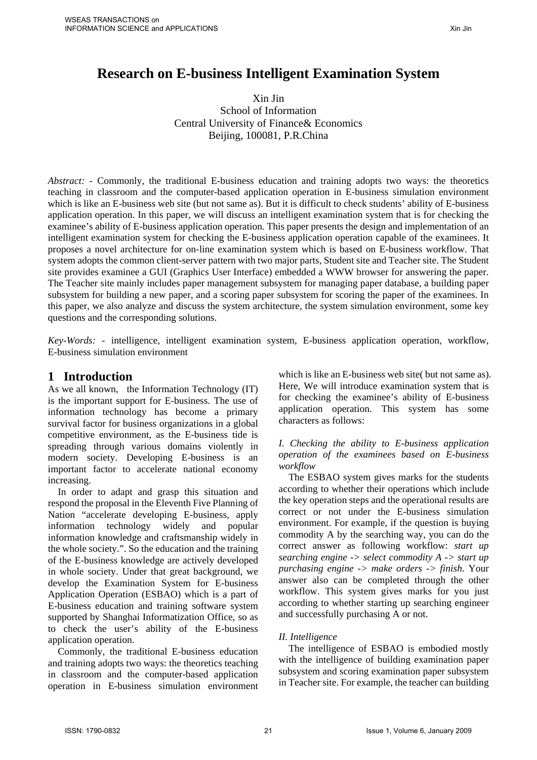# **Research on E-business Intelligent Examination System**

Xin Jin School of Information Central University of Finance& Economics Beijing, 100081, P.R.China

*Abstract: -* Commonly, the traditional E-business education and training adopts two ways: the theoretics teaching in classroom and the computer-based application operation in E-business simulation environment which is like an E-business web site (but not same as). But it is difficult to check students' ability of E-business application operation. In this paper, we will discuss an intelligent examination system that is for checking the examinee's ability of E-business application operation. This paper presents the design and implementation of an intelligent examination system for checking the E-business application operation capable of the examinees. It proposes a novel architecture for on-line examination system which is based on E-business workflow. That system adopts the common client-server pattern with two major parts, Student site and Teacher site. The Student site provides examinee a GUI (Graphics User Interface) embedded a WWW browser for answering the paper. The Teacher site mainly includes paper management subsystem for managing paper database, a building paper subsystem for building a new paper, and a scoring paper subsystem for scoring the paper of the examinees. In this paper, we also analyze and discuss the system architecture, the system simulation environment, some key questions and the corresponding solutions.

*Key-Words: -* intelligence, intelligent examination system, E-business application operation, workflow, E-business simulation environment

## **1 Introduction**

As we all known, the Information Technology (IT) is the important support for E-business. The use of information technology has become a primary survival factor for business organizations in a global competitive environment, as the E-business tide is spreading through various domains violently in modern society. Developing E-business is an important factor to accelerate national economy increasing.

In order to adapt and grasp this situation and respond the proposal in the Eleventh Five Planning of Nation "accelerate developing E-business, apply information technology widely and popular information knowledge and craftsmanship widely in the whole society.". So the education and the training of the E-business knowledge are actively developed in whole society. Under that great background, we develop the Examination System for E-business Application Operation (ESBAO) which is a part of E-business education and training software system supported by Shanghai Informatization Office, so as to check the user's ability of the E-business application operation.

Commonly, the traditional E-business education and training adopts two ways: the theoretics teaching in classroom and the computer-based application operation in E-business simulation environment

which is like an E-business web site but not same as). Here, We will introduce examination system that is for checking the examinee's ability of E-business application operation. This system has some characters as follows:

#### *I. Checking the ability to E-business application operation of the examinees based on E-business workflow*

The ESBAO system gives marks for the students according to whether their operations which include the key operation steps and the operational results are correct or not under the E-business simulation environment. For example, if the question is buying commodity A by the searching way, you can do the correct answer as following workflow: *start up searching engine -> select commodity A -> start up purchasing engine -> make orders -> finish*. Your answer also can be completed through the other workflow. This system gives marks for you just according to whether starting up searching engineer and successfully purchasing A or not.

#### *II. Intelligence*

The intelligence of ESBAO is embodied mostly with the intelligence of building examination paper subsystem and scoring examination paper subsystem in Teacher site. For example, the teacher can building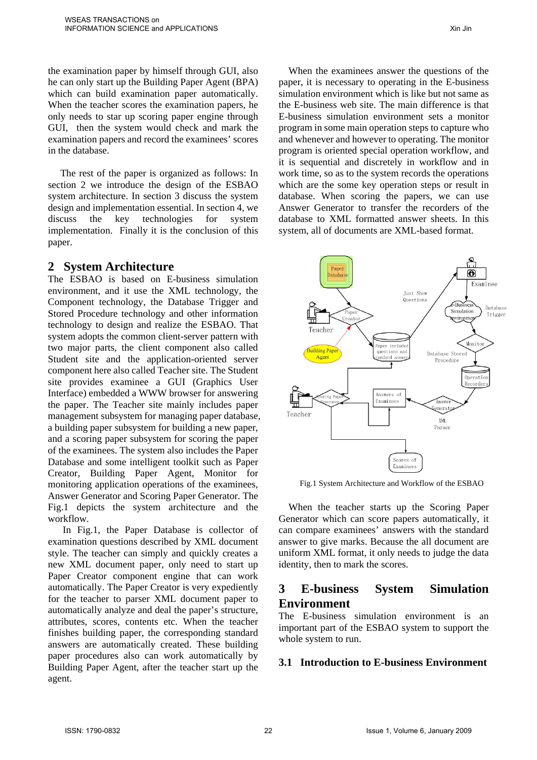the examination paper by himself through GUI, also he can only start up the Building Paper Agent (BPA) which can build examination paper automatically. When the teacher scores the examination papers, he only needs to star up scoring paper engine through GUI, then the system would check and mark the examination papers and record the examinees' scores in the database.

 The rest of the paper is organized as follows: In section 2 we introduce the design of the ESBAO system architecture. In section 3 discuss the system design and implementation essential. In section 4, we discuss the key technologies for system implementation. Finally it is the conclusion of this paper.

## **2 System Architecture**

The ESBAO is based on E-business simulation environment, and it use the XML technology, the Component technology, the Database Trigger and Stored Procedure technology and other information technology to design and realize the ESBAO. That system adopts the common client-server pattern with two major parts, the client component also called Student site and the application-oriented server component here also called Teacher site. The Student site provides examinee a GUI (Graphics User Interface) embedded a WWW browser for answering the paper. The Teacher site mainly includes paper management subsystem for managing paper database, a building paper subsystem for building a new paper, and a scoring paper subsystem for scoring the paper of the examinees. The system also includes the Paper Database and some intelligent toolkit such as Paper Creator, Building Paper Agent, Monitor for monitoring application operations of the examinees, Answer Generator and Scoring Paper Generator. The Fig.1 depicts the system architecture and the workflow.

In Fig.1, the Paper Database is collector of examination questions described by XML document style. The teacher can simply and quickly creates a new XML document paper, only need to start up Paper Creator component engine that can work automatically. The Paper Creator is very expediently for the teacher to parser XML document paper to automatically analyze and deal the paper's structure, attributes, scores, contents etc. When the teacher finishes building paper, the corresponding standard answers are automatically created. These building paper procedures also can work automatically by Building Paper Agent, after the teacher start up the agent.

When the examinees answer the questions of the paper, it is necessary to operating in the E-business simulation environment which is like but not same as the E-business web site. The main difference is that E-business simulation environment sets a monitor program in some main operation steps to capture who and whenever and however to operating. The monitor program is oriented special operation workflow, and it is sequential and discretely in workflow and in work time, so as to the system records the operations which are the some key operation steps or result in database. When scoring the papers, we can use Answer Generator to transfer the recorders of the database to XML formatted answer sheets. In this system, all of documents are XML-based format.



Fig.1 System Architecture and Workflow of the ESBAO

When the teacher starts up the Scoring Paper Generator which can score papers automatically, it can compare examinees' answers with the standard answer to give marks. Because the all document are uniform XML format, it only needs to judge the data identity, then to mark the scores.

## **3 E-business System Simulation Environment**

The E-business simulation environment is an important part of the ESBAO system to support the whole system to run.

#### **3.1 Introduction to E-business Environment**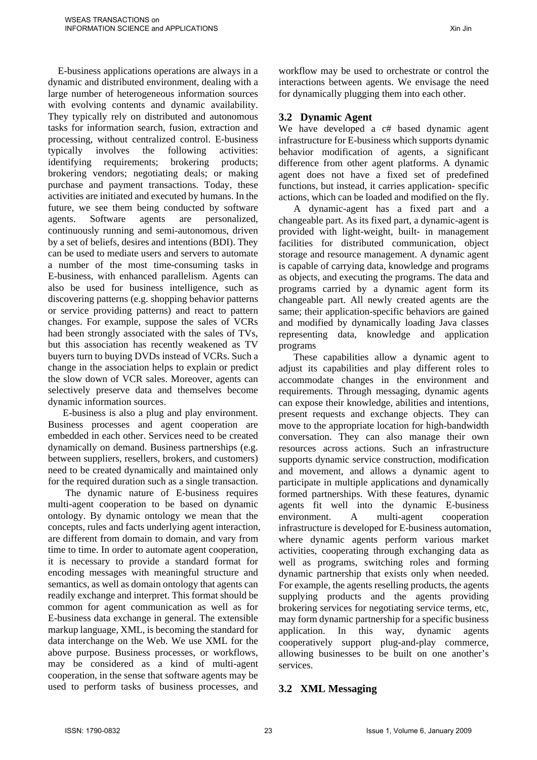E-business applications operations are always in a dynamic and distributed environment, dealing with a large number of heterogeneous information sources with evolving contents and dynamic availability. They typically rely on distributed and autonomous tasks for information search, fusion, extraction and processing, without centralized control. E-business typically involves the following activities: identifying requirements; brokering products; brokering vendors; negotiating deals; or making purchase and payment transactions. Today, these activities are initiated and executed by humans. In the future, we see them being conducted by software agents. Software agents are personalized, continuously running and semi-autonomous, driven by a set of beliefs, desires and intentions (BDI). They can be used to mediate users and servers to automate a number of the most time-consuming tasks in E-business, with enhanced parallelism. Agents can also be used for business intelligence, such as discovering patterns (e.g. shopping behavior patterns or service providing patterns) and react to pattern changes. For example, suppose the sales of VCRs had been strongly associated with the sales of TVs, but this association has recently weakened as TV buyers turn to buying DVDs instead of VCRs. Such a change in the association helps to explain or predict the slow down of VCR sales. Moreover, agents can selectively preserve data and themselves become dynamic information sources.

E-business is also a plug and play environment. Business processes and agent cooperation are embedded in each other. Services need to be created dynamically on demand. Business partnerships (e.g. between suppliers, resellers, brokers, and customers) need to be created dynamically and maintained only for the required duration such as a single transaction.

 The dynamic nature of E-business requires multi-agent cooperation to be based on dynamic ontology. By dynamic ontology we mean that the concepts, rules and facts underlying agent interaction, are different from domain to domain, and vary from time to time. In order to automate agent cooperation, it is necessary to provide a standard format for encoding messages with meaningful structure and semantics, as well as domain ontology that agents can readily exchange and interpret. This format should be common for agent communication as well as for E-business data exchange in general. The extensible markup language, XML, is becoming the standard for data interchange on the Web. We use XML for the above purpose. Business processes, or workflows, may be considered as a kind of multi-agent cooperation, in the sense that software agents may be used to perform tasks of business processes, and

workflow may be used to orchestrate or control the interactions between agents. We envisage the need for dynamically plugging them into each other.

### **3.2 Dynamic Agent**

We have developed a  $c$ # based dynamic agent infrastructure for E-business which supports dynamic behavior modification of agents, a significant difference from other agent platforms. A dynamic agent does not have a fixed set of predefined functions, but instead, it carries application- specific actions, which can be loaded and modified on the fly.

A dynamic-agent has a fixed part and a changeable part. As its fixed part, a dynamic-agent is provided with light-weight, built- in management facilities for distributed communication, object storage and resource management. A dynamic agent is capable of carrying data, knowledge and programs as objects, and executing the programs. The data and programs carried by a dynamic agent form its changeable part. All newly created agents are the same; their application-specific behaviors are gained and modified by dynamically loading Java classes representing data, knowledge and application programs

These capabilities allow a dynamic agent to adjust its capabilities and play different roles to accommodate changes in the environment and requirements. Through messaging, dynamic agents can expose their knowledge, abilities and intentions, present requests and exchange objects. They can move to the appropriate location for high-bandwidth conversation. They can also manage their own resources across actions. Such an infrastructure supports dynamic service construction, modification and movement, and allows a dynamic agent to participate in multiple applications and dynamically formed partnerships. With these features, dynamic agents fit well into the dynamic E-business environment. A multi-agent cooperation infrastructure is developed for E-business automation, where dynamic agents perform various market activities, cooperating through exchanging data as well as programs, switching roles and forming dynamic partnership that exists only when needed. For example, the agents reselling products, the agents supplying products and the agents providing brokering services for negotiating service terms, etc, may form dynamic partnership for a specific business application. In this way, dynamic agents cooperatively support plug-and-play commerce, allowing businesses to be built on one another's services.

### **3.2 XML Messaging**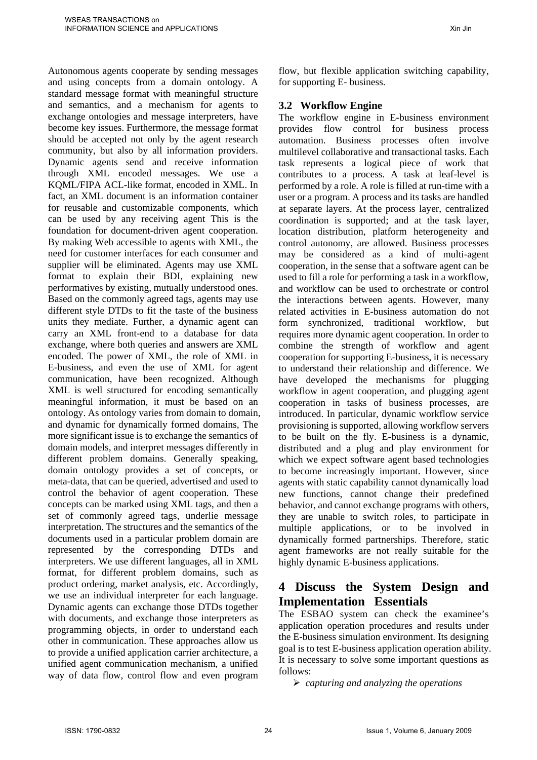Autonomous agents cooperate by sending messages and using concepts from a domain ontology. A standard message format with meaningful structure and semantics, and a mechanism for agents to exchange ontologies and message interpreters, have become key issues. Furthermore, the message format should be accepted not only by the agent research community, but also by all information providers. Dynamic agents send and receive information through XML encoded messages. We use a KQML/FIPA ACL-like format, encoded in XML. In fact, an XML document is an information container for reusable and customizable components, which can be used by any receiving agent This is the foundation for document-driven agent cooperation. By making Web accessible to agents with XML, the need for customer interfaces for each consumer and supplier will be eliminated. Agents may use XML format to explain their BDI, explaining new performatives by existing, mutually understood ones. Based on the commonly agreed tags, agents may use different style DTDs to fit the taste of the business units they mediate. Further, a dynamic agent can carry an XML front-end to a database for data exchange, where both queries and answers are XML encoded. The power of XML, the role of XML in E-business, and even the use of XML for agent communication, have been recognized. Although XML is well structured for encoding semantically meaningful information, it must be based on an ontology. As ontology varies from domain to domain, and dynamic for dynamically formed domains, The more significant issue is to exchange the semantics of domain models, and interpret messages differently in different problem domains. Generally speaking, domain ontology provides a set of concepts, or meta-data, that can be queried, advertised and used to control the behavior of agent cooperation. These concepts can be marked using XML tags, and then a set of commonly agreed tags, underlie message interpretation. The structures and the semantics of the documents used in a particular problem domain are represented by the corresponding DTDs and interpreters. We use different languages, all in XML format, for different problem domains, such as product ordering, market analysis, etc. Accordingly, we use an individual interpreter for each language. Dynamic agents can exchange those DTDs together with documents, and exchange those interpreters as programming objects, in order to understand each other in communication. These approaches allow us to provide a unified application carrier architecture, a unified agent communication mechanism, a unified way of data flow, control flow and even program

flow, but flexible application switching capability, for supporting E- business.

#### **3.2 Workflow Engine**

The workflow engine in E-business environment provides flow control for business process automation. Business processes often involve multilevel collaborative and transactional tasks. Each task represents a logical piece of work that contributes to a process. A task at leaf-level is performed by a role. A role is filled at run-time with a user or a program. A process and its tasks are handled at separate layers. At the process layer, centralized coordination is supported; and at the task layer, location distribution, platform heterogeneity and control autonomy, are allowed. Business processes may be considered as a kind of multi-agent cooperation, in the sense that a software agent can be used to fill a role for performing a task in a workflow, and workflow can be used to orchestrate or control the interactions between agents. However, many related activities in E-business automation do not form synchronized, traditional workflow, but requires more dynamic agent cooperation. In order to combine the strength of workflow and agent cooperation for supporting E-business, it is necessary to understand their relationship and difference. We have developed the mechanisms for plugging workflow in agent cooperation, and plugging agent cooperation in tasks of business processes, are introduced. In particular, dynamic workflow service provisioning is supported, allowing workflow servers to be built on the fly. E-business is a dynamic, distributed and a plug and play environment for which we expect software agent based technologies to become increasingly important. However, since agents with static capability cannot dynamically load new functions, cannot change their predefined behavior, and cannot exchange programs with others, they are unable to switch roles, to participate in multiple applications, or to be involved in dynamically formed partnerships. Therefore, static agent frameworks are not really suitable for the highly dynamic E-business applications.

## **4 Discuss the System Design and Implementation Essentials**

The ESBAO system can check the examinee's application operation procedures and results under the E-business simulation environment. Its designing goal is to test E-business application operation ability. It is necessary to solve some important questions as follows:

¾ *capturing and analyzing the operations*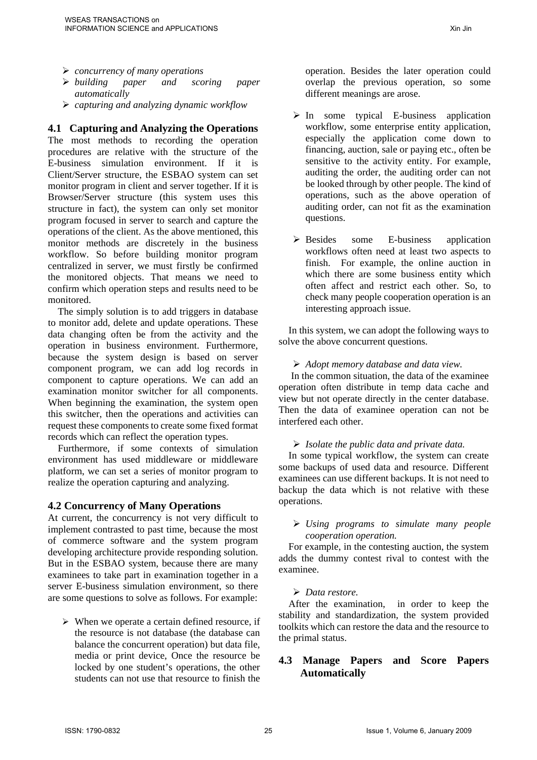- ¾ *concurrency of many operations*
- ¾ *building paper and scoring paper automatically*
- ¾ *capturing and analyzing dynamic workflow*

### **4.1 Capturing and Analyzing the Operations**

The most methods to recording the operation procedures are relative with the structure of the E-business simulation environment. If it is Client/Server structure, the ESBAO system can set monitor program in client and server together. If it is Browser/Server structure (this system uses this structure in fact), the system can only set monitor program focused in server to search and capture the operations of the client. As the above mentioned, this monitor methods are discretely in the business workflow. So before building monitor program centralized in server, we must firstly be confirmed the monitored objects. That means we need to confirm which operation steps and results need to be monitored.

The simply solution is to add triggers in database to monitor add, delete and update operations. These data changing often be from the activity and the operation in business environment. Furthermore, because the system design is based on server component program, we can add log records in component to capture operations. We can add an examination monitor switcher for all components. When beginning the examination, the system open this switcher, then the operations and activities can request these components to create some fixed format records which can reflect the operation types.

Furthermore, if some contexts of simulation environment has used middleware or middleware platform, we can set a series of monitor program to realize the operation capturing and analyzing.

#### **4.2 Concurrency of Many Operations**

At current, the concurrency is not very difficult to implement contrasted to past time, because the most of commerce software and the system program developing architecture provide responding solution. But in the ESBAO system, because there are many examinees to take part in examination together in a server E-business simulation environment, so there are some questions to solve as follows. For example:

 $\triangleright$  When we operate a certain defined resource, if the resource is not database (the database can balance the concurrent operation) but data file, media or print device, Once the resource be locked by one student's operations, the other students can not use that resource to finish the operation. Besides the later operation could overlap the previous operation, so some different meanings are arose.

- $\triangleright$  In some typical E-business application workflow, some enterprise entity application, especially the application come down to financing, auction, sale or paying etc., often be sensitive to the activity entity. For example, auditing the order, the auditing order can not be looked through by other people. The kind of operations, such as the above operation of auditing order, can not fit as the examination questions.
- $\triangleright$  Besides some E-business application workflows often need at least two aspects to finish. For example, the online auction in which there are some business entity which often affect and restrict each other. So, to check many people cooperation operation is an interesting approach issue.

In this system, we can adopt the following ways to solve the above concurrent questions.

#### ¾ *Adopt memory database and data view.*

 In the common situation, the data of the examinee operation often distribute in temp data cache and view but not operate directly in the center database. Then the data of examinee operation can not be interfered each other.

#### ¾ *Isolate the public data and private data.*

In some typical workflow, the system can create some backups of used data and resource. Different examinees can use different backups. It is not need to backup the data which is not relative with these operations.

#### ¾ *Using programs to simulate many people cooperation operation.*

For example, in the contesting auction, the system adds the dummy contest rival to contest with the examinee.

#### ¾ *Data restore.*

After the examination, in order to keep the stability and standardization, the system provided toolkits which can restore the data and the resource to the primal status.

## **4.3 Manage Papers and Score Papers Automatically**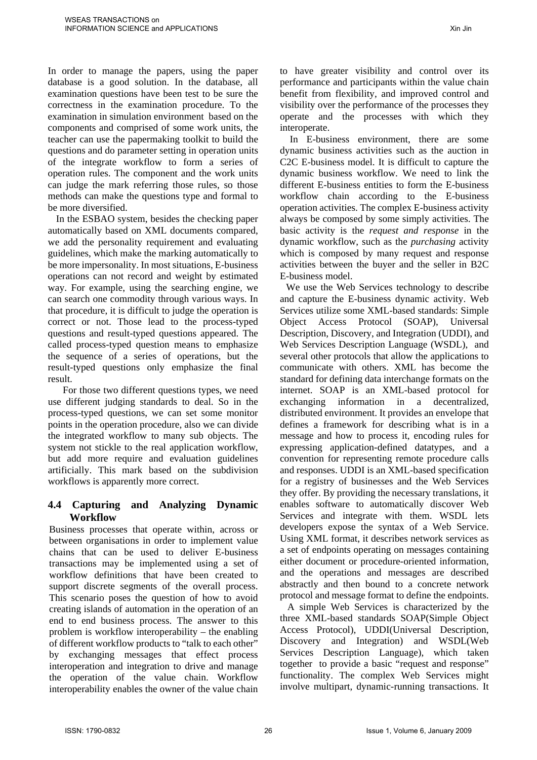In order to manage the papers, using the paper database is a good solution. In the database, all examination questions have been test to be sure the correctness in the examination procedure. To the examination in simulation environment based on the components and comprised of some work units, the teacher can use the papermaking toolkit to build the questions and do parameter setting in operation units of the integrate workflow to form a series of operation rules. The component and the work units can judge the mark referring those rules, so those methods can make the questions type and formal to be more diversified.

 In the ESBAO system, besides the checking paper automatically based on XML documents compared, we add the personality requirement and evaluating guidelines, which make the marking automatically to be more impersonality. In most situations, E-business operations can not record and weight by estimated way. For example, using the searching engine, we can search one commodity through various ways. In that procedure, it is difficult to judge the operation is correct or not. Those lead to the process-typed questions and result-typed questions appeared. The called process-typed question means to emphasize the sequence of a series of operations, but the result-typed questions only emphasize the final result.

For those two different questions types, we need use different judging standards to deal. So in the process-typed questions, we can set some monitor points in the operation procedure, also we can divide the integrated workflow to many sub objects. The system not stickle to the real application workflow, but add more require and evaluation guidelines artificially. This mark based on the subdivision workflows is apparently more correct.

### **4.4 Capturing and Analyzing Dynamic Workflow**

Business processes that operate within, across or between organisations in order to implement value chains that can be used to deliver E-business transactions may be implemented using a set of workflow definitions that have been created to support discrete segments of the overall process. This scenario poses the question of how to avoid creating islands of automation in the operation of an end to end business process. The answer to this problem is workflow interoperability – the enabling of different workflow products to "talk to each other" by exchanging messages that effect process interoperation and integration to drive and manage the operation of the value chain. Workflow interoperability enables the owner of the value chain

to have greater visibility and control over its performance and participants within the value chain benefit from flexibility, and improved control and visibility over the performance of the processes they operate and the processes with which they interoperate.

 In E-business environment, there are some dynamic business activities such as the auction in C2C E-business model. It is difficult to capture the dynamic business workflow. We need to link the different E-business entities to form the E-business workflow chain according to the E-business operation activities. The complex E-business activity always be composed by some simply activities. The basic activity is the *request and response* in the dynamic workflow, such as the *purchasing* activity which is composed by many request and response activities between the buyer and the seller in B2C E-business model.

 We use the Web Services technology to describe and capture the E-business dynamic activity. Web Services utilize some XML-based standards: Simple Object Access Protocol (SOAP), Universal Description, Discovery, and Integration (UDDI), and Web Services Description Language (WSDL), and several other protocols that allow the applications to communicate with others. XML has become the standard for defining data interchange formats on the internet. SOAP is an XML-based protocol for exchanging information in a decentralized, distributed environment. It provides an envelope that defines a framework for describing what is in a message and how to process it, encoding rules for expressing application-defined datatypes, and a convention for representing remote procedure calls and responses. UDDI is an XML-based specification for a registry of businesses and the Web Services they offer. By providing the necessary translations, it enables software to automatically discover Web Services and integrate with them. WSDL lets developers expose the syntax of a Web Service. Using XML format, it describes network services as a set of endpoints operating on messages containing either document or procedure-oriented information, and the operations and messages are described abstractly and then bound to a concrete network protocol and message format to define the endpoints.

 A simple Web Services is characterized by the three XML-based standards SOAP(Simple Object Access Protocol), UDDI(Universal Description, Discovery and Integration) and WSDL(Web Services Description Language), which taken together to provide a basic "request and response" functionality. The complex Web Services might involve multipart, dynamic-running transactions. It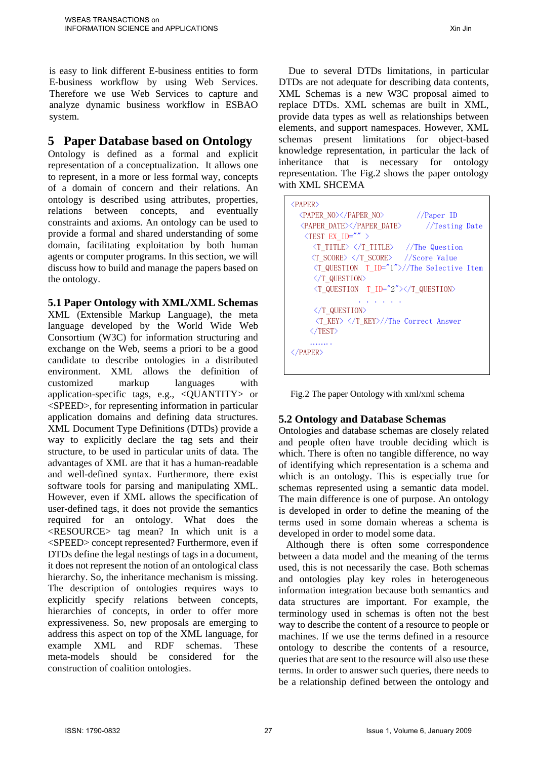is easy to link different E-business entities to form E-business workflow by using Web Services. Therefore we use Web Services to capture and analyze dynamic business workflow in ESBAO system.

## **5 Paper Database based on Ontology**

Ontology is defined as a formal and explicit representation of a conceptualization. It allows one to represent, in a more or less formal way, concepts of a domain of concern and their relations. An ontology is described using attributes, properties, relations between concepts, and eventually constraints and axioms. An ontology can be used to provide a formal and shared understanding of some domain, facilitating exploitation by both human agents or computer programs. In this section, we will discuss how to build and manage the papers based on the ontology.

**5.1 Paper Ontology with XML/XML Schemas**  XML (Extensible Markup Language), the meta language developed by the World Wide Web Consortium (W3C) for information structuring and exchange on the Web, seems a priori to be a good candidate to describe ontologies in a distributed environment. XML allows the definition of customized markup languages with application-specific tags, e.g., <QUANTITY> or <SPEED>, for representing information in particular application domains and defining data structures. XML Document Type Definitions (DTDs) provide a way to explicitly declare the tag sets and their structure, to be used in particular units of data. The advantages of XML are that it has a human-readable and well-defined syntax. Furthermore, there exist software tools for parsing and manipulating XML. However, even if XML allows the specification of user-defined tags, it does not provide the semantics required for an ontology. What does the <RESOURCE> tag mean? In which unit is a <SPEED> concept represented? Furthermore, even if DTDs define the legal nestings of tags in a document, it does not represent the notion of an ontological class hierarchy. So, the inheritance mechanism is missing. The description of ontologies requires ways to explicitly specify relations between concepts, hierarchies of concepts, in order to offer more expressiveness. So, new proposals are emerging to address this aspect on top of the XML language, for example XML and RDF schemas. These meta-models should be considered for the construction of coalition ontologies.

Due to several DTDs limitations, in particular DTDs are not adequate for describing data contents, XML Schemas is a new W3C proposal aimed to replace DTDs. XML schemas are built in XML, provide data types as well as relationships between elements, and support namespaces. However, XML schemas present limitations for object-based knowledge representation, in particular the lack of inheritance that is necessary for ontology representation. The Fig.2 shows the paper ontology with XML SHCEMA

| $\langle$ PAPER $\rangle$                                                |
|--------------------------------------------------------------------------|
| $\langle$ PAPER NO $\rangle$ $\langle$ /PAPER NO $\rangle$<br>//Paper ID |
| <paper date=""></paper><br>//Testing Date                                |
| $\langle$ TEST EX ID="" >                                                |
| $\langle T_T \rangle /T_T \rangle$ /T_TITLE> //The Question              |
| $\langle T SCORE \rangle$ $\langle T SCORE \rangle$ //Score Value        |
| $\langle$ T QUESTION T ID="1">//The Selective Item                       |
| $\langle$ /T QUESTION>                                                   |
| $\langle$ T QUESTION T ID="2"> $\langle$ /T QUESTION>                    |
|                                                                          |
| $\langle$ T QUESTION>                                                    |
| <t key=""> //The Correct Answer</t>                                      |
| $\langle$ /TEST>                                                         |
|                                                                          |
| $\langle$ /PAPER>                                                        |
|                                                                          |

Fig.2 The paper Ontology with xml/xml schema

### **5.2 Ontology and Database Schemas**

Ontologies and database schemas are closely related and people often have trouble deciding which is which. There is often no tangible difference, no way of identifying which representation is a schema and which is an ontology. This is especially true for schemas represented using a semantic data model. The main difference is one of purpose. An ontology is developed in order to define the meaning of the terms used in some domain whereas a schema is developed in order to model some data.

 Although there is often some correspondence between a data model and the meaning of the terms used, this is not necessarily the case. Both schemas and ontologies play key roles in heterogeneous information integration because both semantics and data structures are important. For example, the terminology used in schemas is often not the best way to describe the content of a resource to people or machines. If we use the terms defined in a resource ontology to describe the contents of a resource, queries that are sent to the resource will also use these terms. In order to answer such queries, there needs to be a relationship defined between the ontology and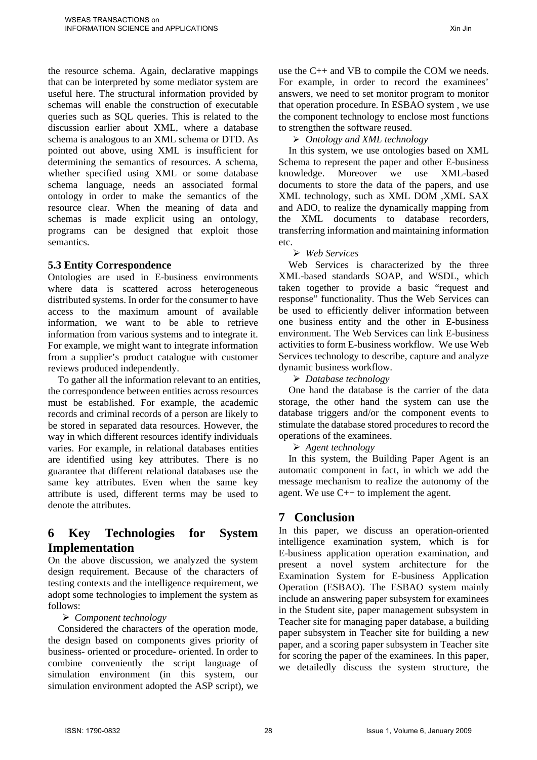the resource schema. Again, declarative mappings that can be interpreted by some mediator system are useful here. The structural information provided by schemas will enable the construction of executable queries such as SQL queries. This is related to the discussion earlier about XML, where a database schema is analogous to an XML schema or DTD. As pointed out above, using XML is insufficient for determining the semantics of resources. A schema, whether specified using XML or some database schema language, needs an associated formal ontology in order to make the semantics of the resource clear. When the meaning of data and schemas is made explicit using an ontology, programs can be designed that exploit those semantics.

### **5.3 Entity Correspondence**

Ontologies are used in E-business environments where data is scattered across heterogeneous distributed systems. In order for the consumer to have access to the maximum amount of available information, we want to be able to retrieve information from various systems and to integrate it. For example, we might want to integrate information from a supplier's product catalogue with customer reviews produced independently.

To gather all the information relevant to an entities, the correspondence between entities across resources must be established. For example, the academic records and criminal records of a person are likely to be stored in separated data resources. However, the way in which different resources identify individuals varies. For example, in relational databases entities are identified using key attributes. There is no guarantee that different relational databases use the same key attributes. Even when the same key attribute is used, different terms may be used to denote the attributes.

## **6 Key Technologies for System Implementation**

On the above discussion, we analyzed the system design requirement. Because of the characters of testing contexts and the intelligence requirement, we adopt some technologies to implement the system as follows:

#### ¾ *Component technology*

Considered the characters of the operation mode, the design based on components gives priority of business- oriented or procedure- oriented. In order to combine conveniently the script language of simulation environment (in this system, our simulation environment adopted the ASP script), we use the C++ and VB to compile the COM we needs. For example, in order to record the examinees' answers, we need to set monitor program to monitor that operation procedure. In ESBAO system , we use the component technology to enclose most functions to strengthen the software reused.

¾ *Ontology and XML technology*

In this system, we use ontologies based on XML Schema to represent the paper and other E-business knowledge. Moreover we use XML-based documents to store the data of the papers, and use XML technology, such as XML DOM ,XML SAX and ADO, to realize the dynamically mapping from the XML documents to database recorders, transferring information and maintaining information etc.

¾ *Web Services* 

Web Services is characterized by the three XML-based standards SOAP, and WSDL, which taken together to provide a basic "request and response" functionality. Thus the Web Services can be used to efficiently deliver information between one business entity and the other in E-business environment. The Web Services can link E-business activities to form E-business workflow. We use Web Services technology to describe, capture and analyze dynamic business workflow.

¾ *Database technology* 

One hand the database is the carrier of the data storage, the other hand the system can use the database triggers and/or the component events to stimulate the database stored procedures to record the operations of the examinees.

¾ *Agent technology* 

 In this system, the Building Paper Agent is an automatic component in fact, in which we add the message mechanism to realize the autonomy of the agent. We use C++ to implement the agent.

## **7 Conclusion**

In this paper, we discuss an operation-oriented intelligence examination system, which is for E-business application operation examination, and present a novel system architecture for the Examination System for E-business Application Operation (ESBAO). The ESBAO system mainly include an answering paper subsystem for examinees in the Student site, paper management subsystem in Teacher site for managing paper database, a building paper subsystem in Teacher site for building a new paper, and a scoring paper subsystem in Teacher site for scoring the paper of the examinees. In this paper, we detailedly discuss the system structure, the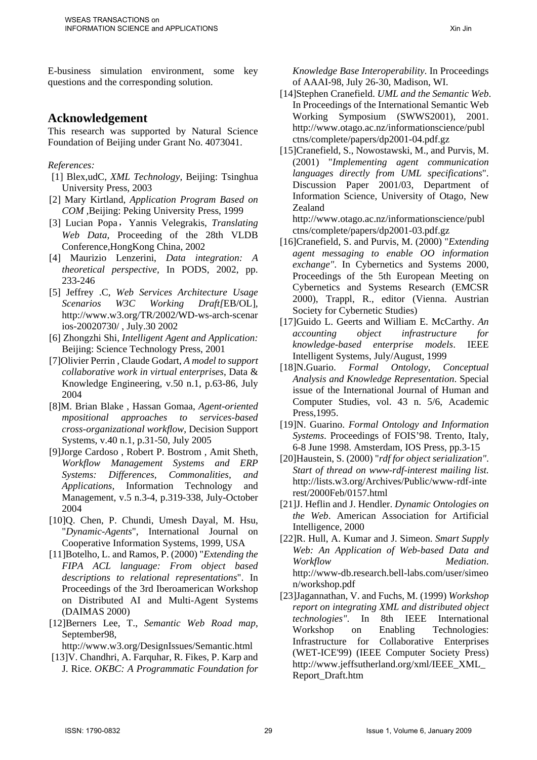E-business simulation environment, some key questions and the corresponding solution.

## **Acknowledgement**

This research was supported by Natural Science Foundation of Beijing under Grant No. 4073041.

### *References:*

- [1] Blex,udC, *XML Technology,* Beijing: Tsinghua University Press, 2003
- [2] Mary Kirtland, *Application Program Based on COM ,*Beijing: Peking University Press, 1999
- [3] Lucian Popa,Yannis Velegrakis, *Translating Web Data,* Proceeding of the 28th VLDB Conference,HongKong China, 2002
- [4] Maurizio Lenzerini, *Data integration: A theoretical perspective,* In PODS, 2002, pp. 233-246
- [5] Jeffrey .C, *Web Services Architecture Usage Scenarios W3C Working Draft[*EB/OL], http://www.w3.org/TR/2002/WD-ws-arch-scenar ios-20020730/ , July.30 2002
- [6] Zhongzhi Shi, *Intelligent Agent and Application:*  Beijing: Science Technology Press, 2001
- [7]Olivier Perrin , Claude Godart, *A model to support collaborative work in virtual enterprises*, Data & Knowledge Engineering, v.50 n.1, p.63-86, July 2004
- [8]M. Brian Blake , Hassan Gomaa, *Agent-oriented mpositional approaches to services-based cross-organizational workflow*, Decision Support Systems, v.40 n.1, p.31-50, July 2005
- [9]Jorge Cardoso , Robert P. Bostrom , Amit Sheth, *Workflow Management Systems and ERP Systems: Differences, Commonalities, and Applications,* Information Technology and Management, v.5 n.3-4, p.319-338, July-October 2004
- [10]Q. Chen, P. Chundi, Umesh Dayal, M. Hsu, "*Dynamic-Agents*", International Journal on Cooperative Information Systems, 1999, USA
- [11]Botelho, L. and Ramos, P. (2000) "*Extending the FIPA ACL language: From object based descriptions to relational representations*". In Proceedings of the 3rd Iberoamerican Workshop on Distributed AI and Multi-Agent Systems (DAIMAS 2000)
- [12]Berners Lee, T., *Semantic Web Road map*, September98,

http://www.w3.org/DesignIssues/Semantic.html

 [13]V. Chandhri, A. Farquhar, R. Fikes, P. Karp and J. Rice. *OKBC: A Programmatic Foundation for* 

*Knowledge Base Interoperability*. In Proceedings of AAAI-98, July 26-30, Madison, WI.

- [14]Stephen Cranefield. *UML and the Semantic Web*. In Proceedings of the International Semantic Web Working Symposium (SWWS2001), 2001. http://www.otago.ac.nz/informationscience/publ ctns/complete/papers/dp2001-04.pdf.gz
- [15]Cranefield, S., Nowostawski, M., and Purvis, M. (2001) "*Implementing agent communication languages directly from UML specifications*". Discussion Paper 2001/03, Department of Information Science, University of Otago, New Zealand

http://www.otago.ac.nz/informationscience/publ ctns/complete/papers/dp2001-03.pdf.gz

- [16]Cranefield, S. and Purvis, M. (2000) "*Extending agent messaging to enable OO information exchange"*. In Cybernetics and Systems 2000, Proceedings of the 5th European Meeting on Cybernetics and Systems Research (EMCSR 2000), Trappl, R., editor (Vienna. Austrian Society for Cybernetic Studies)
- [17]Guido L. Geerts and William E. McCarthy. *An accounting object infrastructure for knowledge-based enterprise models*. IEEE Intelligent Systems, July/August, 1999
- [18]N.Guario. *Formal Ontology, Conceptual Analysis and Knowledge Representation*. Special issue of the International Journal of Human and Computer Studies, vol. 43 n. 5/6, Academic Press,1995.
- [19]N. Guarino. *Formal Ontology and Information Systems*. Proceedings of FOIS'98. Trento, Italy, 6-8 June 1998. Amsterdam, IOS Press, pp.3-15
- [20]Haustein, S. (2000) "*rdf for object serialization"*. *Start of thread on www-rdf-interest mailing list.* http://lists.w3.org/Archives/Public/www-rdf-inte rest/2000Feb/0157.html
- [21]J. Heflin and J. Hendler. *Dynamic Ontologies on the Web*. American Association for Artificial Intelligence, 2000
- [22]R. Hull, A. Kumar and J. Simeon. *Smart Supply Web: An Application of Web-based Data and Workflow Mediation*. http://www-db.research.bell-labs.com/user/simeo n/workshop.pdf
- [23]Jagannathan, V. and Fuchs, M. (1999) *Workshop report on integrating XML and distributed object technologies"*. In 8th IEEE International Workshop on Enabling Technologies: Infrastructure for Collaborative Enterprises (WET-ICE'99) (IEEE Computer Society Press) http://www.jeffsutherland.org/xml/IEEE\_XML\_ Report\_Draft.htm